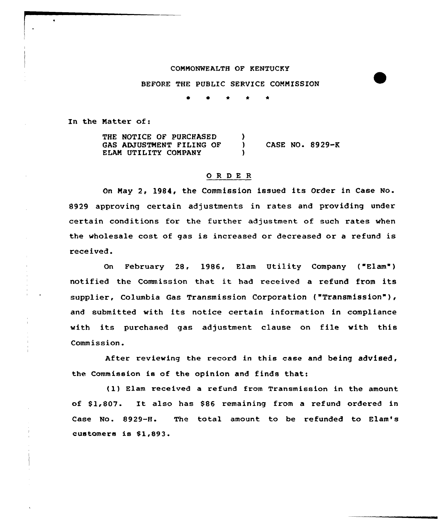## COMMONWEALTH OF KENTUCKY

## BEFORE THE PUBLIC SERVICE COMMISSION

 $\bullet$ 

In the Matter of:

THE NOTICE OF PURCHASED э ) CASE NO. 8929-K GAS ADJUSTMENT FILING OF ELAM UTILITY COMPANY )

## 0 <sup>R</sup> <sup>D</sup> E <sup>R</sup>

On May 2, 1984, the Commission issued its Ordex in Case No. 8929 approving certain adjustments in rates and providing under cextain conditions for the further adjustment of such rates when the wholesale cost of gas is incxeased or decreased or a refund is rece ived .

On Febxuary 28, 1986, Elam Utility Company ("Elam" ) notified the Commission that it had received <sup>a</sup> refund from its supplier, Columbia Gas Transmission Corporation ("Transmission" ), and submitted with its notice certain information in compliance with its purchased gas adjustment clause on file with this Commission.

After reviewing the record in this case and being advised, the Commission is of the opinion and finds that:

(1) Elam received a refund from Transmission in the amount of \$1,807. It also has \$86 remaining from a refund ordered in Case No. 8929-H. The total amount to be refunded to Elam's customers is \$1,893.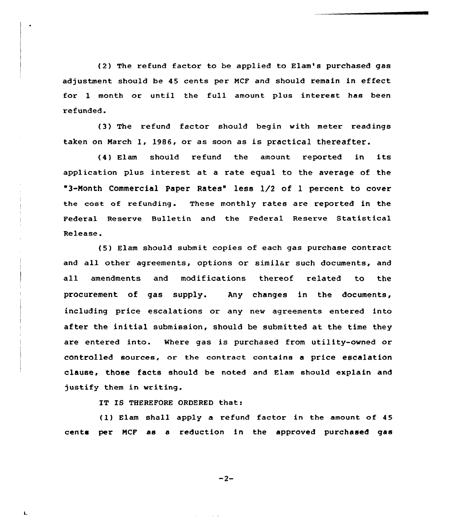(2) The refund factor to be applied to Elam's purchased gas adjustment should be 45 cents per NCF and should remain in effeet for 1 month or until the full amount plus interest has been refunded.

(3) The refund factor should begin with meter readings taken on March 1, 1986, or as soon as is practical thereafter.

(4) Elam should refund the amount reported in its application plus interest at. a rate equal to the average of the <sup>3</sup> Month Commercial Paper Rates" less 1/2 of 1 percent to cover the cost of refunding. These monthly rates are reported in the Federal Reserve Bulletin and the Federal Reserve Statistical Release.

(5) Elam should submit copies of each gas purchase contract and all other agreements, options or similar such documents, and all amendments and modifications thereof related to the procurement of gas supply. Any changes in the documents, including price escalations or any new agreements entered into after the initial submission, should be submitted at the time they are entered into. Where gas is purchased from utility-owned or controlled sources, or the contract contains a price escalation clause, those facts should be noted and Elam should explain and justify them in writing.

IT IS THEREFORE ORDERED that:

(1) Elam shall apply a refund factor in the amount of 45 cents per NCF as a reduction in the approved purchased gas

 $-2-$ 

 $\mathbf{L}$